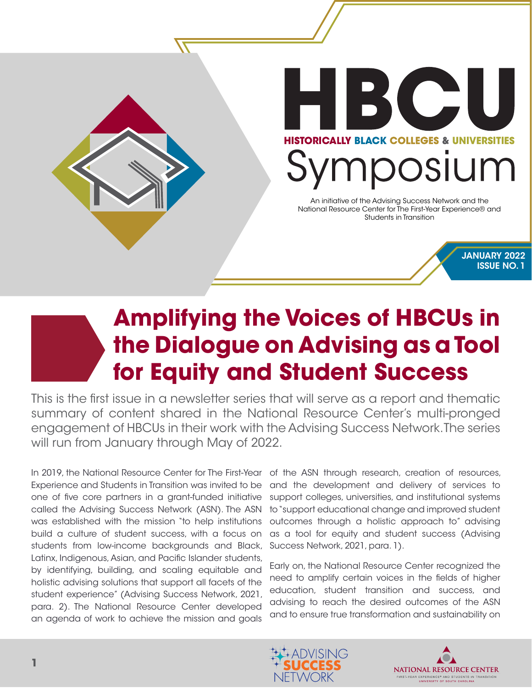

## **Amplifying the Voices of HBCUs in the Dialogue on Advising as a Tool for Equity and Student Success**

This is the first issue in a newsletter series that will serve as a report and thematic summary of content shared in the National Resource Center's multi-pronged engagement of HBCUs in their work with the Advising Success Network. The series will run from January through May of 2022.

In 2019, the National Resource Center for The First-Year of the ASN through research, creation of resources, Experience and Students in Transition was invited to be one of five core partners in a grant-funded initiative called the Advising Success Network (ASN). The ASN was established with the mission "to help institutions build a culture of student success, with a focus on students from low-income backgrounds and Black, Latinx, Indigenous, Asian, and Pacific Islander students, by identifying, building, and scaling equitable and holistic advising solutions that support all facets of the student experience" (Advising Success Network, 2021, para. 2). The National Resource Center developed an agenda of work to achieve the mission and goals

and the development and delivery of services to support colleges, universities, and institutional systems to "support educational change and improved student outcomes through a holistic approach to" advising as a tool for equity and student success (Advising Success Network, 2021, para. 1).

Early on, the National Resource Center recognized the need to amplify certain voices in the fields of higher education, student transition and success, and advising to reach the desired outcomes of the ASN and to ensure true transformation and sustainability on



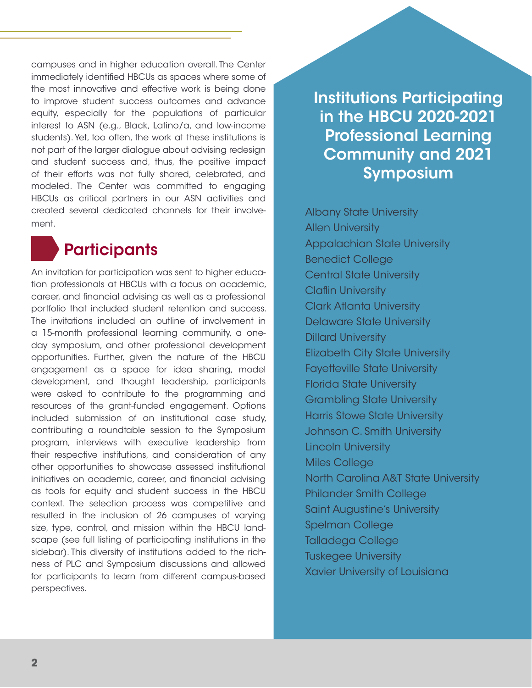campuses and in higher education overall. The Center immediately identified HBCUs as spaces where some of the most innovative and effective work is being done to improve student success outcomes and advance equity, especially for the populations of particular interest to ASN (e.g., Black, Latino/a, and low-income students). Yet, too often, the work at these institutions is not part of the larger dialogue about advising redesign and student success and, thus, the positive impact of their efforts was not fully shared, celebrated, and modeled. The Center was committed to engaging HBCUs as critical partners in our ASN activities and created several dedicated channels for their involvement.

## **Participants**

An invitation for participation was sent to higher education professionals at HBCUs with a focus on academic, career, and financial advising as well as a professional portfolio that included student retention and success. The invitations included an outline of involvement in a 15-month professional learning community, a oneday symposium, and other professional development opportunities. Further, given the nature of the HBCU engagement as a space for idea sharing, model development, and thought leadership, participants were asked to contribute to the programming and resources of the grant-funded engagement. Options included submission of an institutional case study, contributing a roundtable session to the Symposium program, interviews with executive leadership from their respective institutions, and consideration of any other opportunities to showcase assessed institutional initiatives on academic, career, and financial advising as tools for equity and student success in the HBCU context. The selection process was competitive and resulted in the inclusion of 26 campuses of varying size, type, control, and mission within the HBCU landscape (see full listing of participating institutions in the sidebar). This diversity of institutions added to the richness of PLC and Symposium discussions and allowed for participants to learn from different campus-based perspectives.

Institutions Participating in the HBCU 2020-2021 Professional Learning Community and 2021 Symposium

Albany State University Allen University Appalachian State University Benedict College Central State University Claflin University Clark Atlanta University Delaware State University Dillard University Elizabeth City State University Fayetteville State University Florida State University Grambling State University Harris Stowe State University Johnson C. Smith University Lincoln University Miles College North Carolina A&T State University Philander Smith College Saint Augustine's University Spelman College Talladega College Tuskegee University Xavier University of Louisiana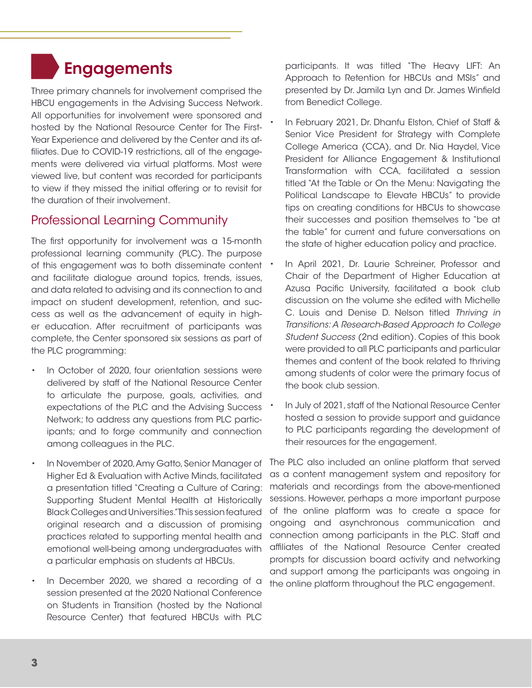## **Engagements**

Three primary channels for involvement comprised the HBCU engagements in the Advising Success Network. All opportunities for involvement were sponsored and hosted by the National Resource Center for The First-Year Experience and delivered by the Center and its affiliates. Due to COVID-19 restrictions, all of the engagements were delivered via virtual platforms. Most were viewed live, but content was recorded for participants to view if they missed the initial offering or to revisit for the duration of their involvement.

#### Professional Learning Community

The first opportunity for involvement was a 15-month professional learning community (PLC). The purpose of this engagement was to both disseminate content and facilitate dialogue around topics, trends, issues, and data related to advising and its connection to and impact on student development, retention, and success as well as the advancement of equity in higher education. After recruitment of participants was complete, the Center sponsored six sessions as part of the PLC programming:

- In October of 2020, four orientation sessions were delivered by staff of the National Resource Center to articulate the purpose, goals, activities, and expectations of the PLC and the Advising Success Network; to address any questions from PLC participants; and to forge community and connection among colleagues in the PLC.
- In November of 2020, Amy Gatto, Senior Manager of Higher Ed & Evaluation with Active Minds, facilitated a presentation titled "Creating a Culture of Caring: Supporting Student Mental Health at Historically Black Colleges and Universities." This session featured original research and a discussion of promising practices related to supporting mental health and emotional well-being among undergraduates with a particular emphasis on students at HBCUs.
- In December 2020, we shared a recording of a session presented at the 2020 National Conference on Students in Transition (hosted by the National Resource Center) that featured HBCUs with PLC

participants. It was titled "The Heavy LIFT: An Approach to Retention for HBCUs and MSIs" and presented by Dr. Jamila Lyn and Dr. James Winfield from Benedict College.

- In February 2021, Dr. Dhanfu Elston, Chief of Staff & Senior Vice President for Strategy with Complete College America (CCA), and Dr. Nia Haydel, Vice President for Alliance Engagement & Institutional Transformation with CCA, facilitated a session titled "At the Table or On the Menu: Navigating the Political Landscape to Elevate HBCUs" to provide tips on creating conditions for HBCUs to showcase their successes and position themselves to "be at the table" for current and future conversations on the state of higher education policy and practice.
- In April 2021, Dr. Laurie Schreiner, Professor and Chair of the Department of Higher Education at Azusa Pacific University, facilitated a book club discussion on the volume she edited with Michelle C. Louis and Denise D. Nelson titled *Thriving in Transitions: A Research-Based Approach to College Student Success* (2nd edition). Copies of this book were provided to all PLC participants and particular themes and content of the book related to thriving among students of color were the primary focus of the book club session.
- In July of 2021, staff of the National Resource Center hosted a session to provide support and guidance to PLC participants regarding the development of their resources for the engagement.

The PLC also included an online platform that served as a content management system and repository for materials and recordings from the above-mentioned sessions. However, perhaps a more important purpose of the online platform was to create a space for ongoing and asynchronous communication and connection among participants in the PLC. Staff and affiliates of the National Resource Center created prompts for discussion board activity and networking and support among the participants was ongoing in the online platform throughout the PLC engagement.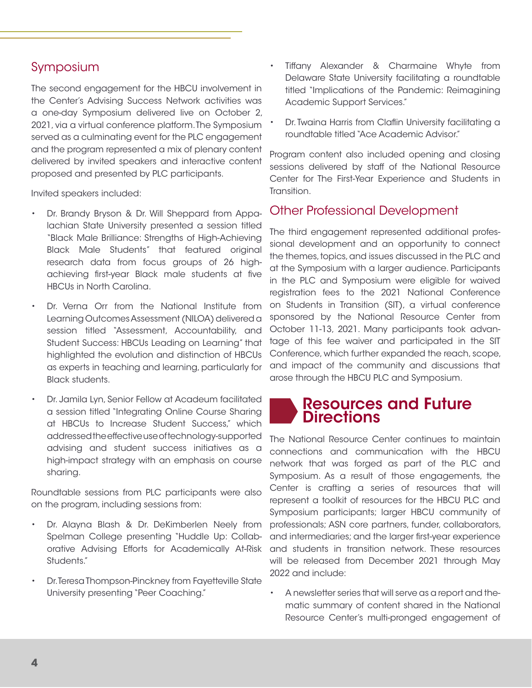#### Symposium

The second engagement for the HBCU involvement in the Center's Advising Success Network activities was a one-day Symposium delivered live on October 2, 2021, via a virtual conference platform. The Symposium served as a culminating event for the PLC engagement and the program represented a mix of plenary content delivered by invited speakers and interactive content proposed and presented by PLC participants.

Invited speakers included:

- Dr. Brandy Bryson & Dr. Will Sheppard from Appalachian State University presented a session titled "Black Male Brilliance: Strengths of High-Achieving Black Male Students" that featured original research data from focus groups of 26 highachieving first-year Black male students at five HBCUs in North Carolina.
- Dr. Verna Orr from the National Institute from Learning Outcomes Assessment (NILOA) delivered a session titled "Assessment, Accountability, and Student Success: HBCUs Leading on Learning" that highlighted the evolution and distinction of HBCUs as experts in teaching and learning, particularly for Black students.
- Dr. Jamila Lyn, Senior Fellow at Acadeum facilitated a session titled "Integrating Online Course Sharing at HBCUs to Increase Student Success," which addressed the effective use of technology-supported advising and student success initiatives as a high-impact strategy with an emphasis on course sharing.

Roundtable sessions from PLC participants were also on the program, including sessions from:

- Dr. Alayna Blash & Dr. DeKimberlen Neely from Spelman College presenting "Huddle Up: Collaborative Advising Efforts for Academically At-Risk Students."
- Dr. Teresa Thompson-Pinckney from Fayetteville State University presenting "Peer Coaching."
- Tiffany Alexander & Charmaine Whyte from Delaware State University facilitating a roundtable titled "Implications of the Pandemic: Reimagining Academic Support Services."
- Dr. Twaina Harris from Claflin University facilitating a roundtable titled "Ace Academic Advisor."

Program content also included opening and closing sessions delivered by staff of the National Resource Center for The First-Year Experience and Students in Transition.

#### Other Professional Development

The third engagement represented additional professional development and an opportunity to connect the themes, topics, and issues discussed in the PLC and at the Symposium with a larger audience. Participants in the PLC and Symposium were eligible for waived registration fees to the 2021 National Conference on Students in Transition (SIT), a virtual conference sponsored by the National Resource Center from October 11-13, 2021. Many participants took advantage of this fee waiver and participated in the SIT Conference, which further expanded the reach, scope, and impact of the community and discussions that arose through the HBCU PLC and Symposium.

#### Resources and Future Directions

The National Resource Center continues to maintain connections and communication with the HBCU network that was forged as part of the PLC and Symposium. As a result of those engagements, the Center is crafting a series of resources that will represent a toolkit of resources for the HBCU PLC and Symposium participants; larger HBCU community of professionals; ASN core partners, funder, collaborators, and intermediaries; and the larger first-year experience and students in transition network. These resources will be released from December 2021 through May 2022 and include:

• A newsletter series that will serve as a report and thematic summary of content shared in the National Resource Center's multi-pronged engagement of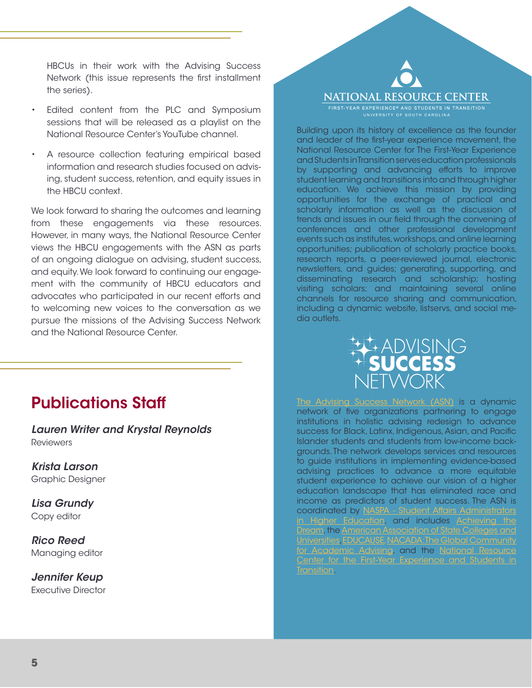HBCUs in their work with the Advising Success Network (this issue represents the first installment the series).

- Edited content from the PLC and Symposium sessions that will be released as a playlist on the National Resource Center's YouTube channel.
- A resource collection featuring empirical based information and research studies focused on advising, student success, retention, and equity issues in the HBCU context.

We look forward to sharing the outcomes and learning from these engagements via these resources. However, in many ways, the National Resource Center views the HBCU engagements with the ASN as parts of an ongoing dialogue on advising, student success, and equity. We look forward to continuing our engagement with the community of HBCU educators and advocates who participated in our recent efforts and to welcoming new voices to the conversation as we pursue the missions of the Advising Success Network and the National Resource Center.

### Publications Staff

*Lauren Writer and Krystal Reynolds* **Reviewers** 

*Krista Larson* Graphic Designer

*Lisa Grundy* Copy editor

*Rico Reed* Managing editor

*Jennifer Keup* Executive Director

# **NATIONAL RESOURCE CENTER**

Building upon its history of excellence as the founder and leader of the first-year experience movement, the National Resource Center for The First-Year Experience and Students in Transition serves education professionals by supporting and advancing efforts to improve student learning and transitions into and through higher education. We achieve this mission by providing opportunities for the exchange of practical and scholarly information as well as the discussion of trends and issues in our field through the convening of conferences and other professional development events such as institutes, workshops, and online learning opportunities; publication of scholarly practice books, research reports, a peer-reviewed journal, electronic newsletters, and guides; generating, supporting, and disseminating research and scholarship; hosting visiting scholars; and maintaining several online channels for resource sharing and communication, including a dynamic website, listservs, and social media outlets.



[The Advising Success Network \(ASN\)](https://www.advisingsuccessnetwork.org/) is a dynamic network of five organizations partnering to engage institutions in holistic advising redesign to advance success for Black, Latinx, Indigenous, Asian, and Pacific Islander students and students from low-income backgrounds. The network develops services and resources to guide institutions in implementing evidence-based advising practices to advance a more equitable student experience to achieve our vision of a higher education landscape that has eliminated race and income as predictors of student success. The ASN is coordinated by [NASPA - Student Affairs Administrators](https://naspa.org/) [in Higher Education,](https://naspa.org/) and includes [Achieving the](https://www.achievingthedream.org/) [Dream,](https://www.achievingthedream.org/) the <u>American Association of State Colleges and</u><br>Universities, EDUCAUSE, NACADA:The Global Community [Universities](https://www.aascu.org/), [EDUCAUSE](https://www.educause.edu/), NACADA [for Academic Advising](https://nacada.ksu.edu/), and the [National Resource](https://sc.edu/about/offices_and_divisions/national_resource_center/index.php) enter for the First-Year Experience and Students [Transition](https://sc.edu/about/offices_and_divisions/national_resource_center/index.php).